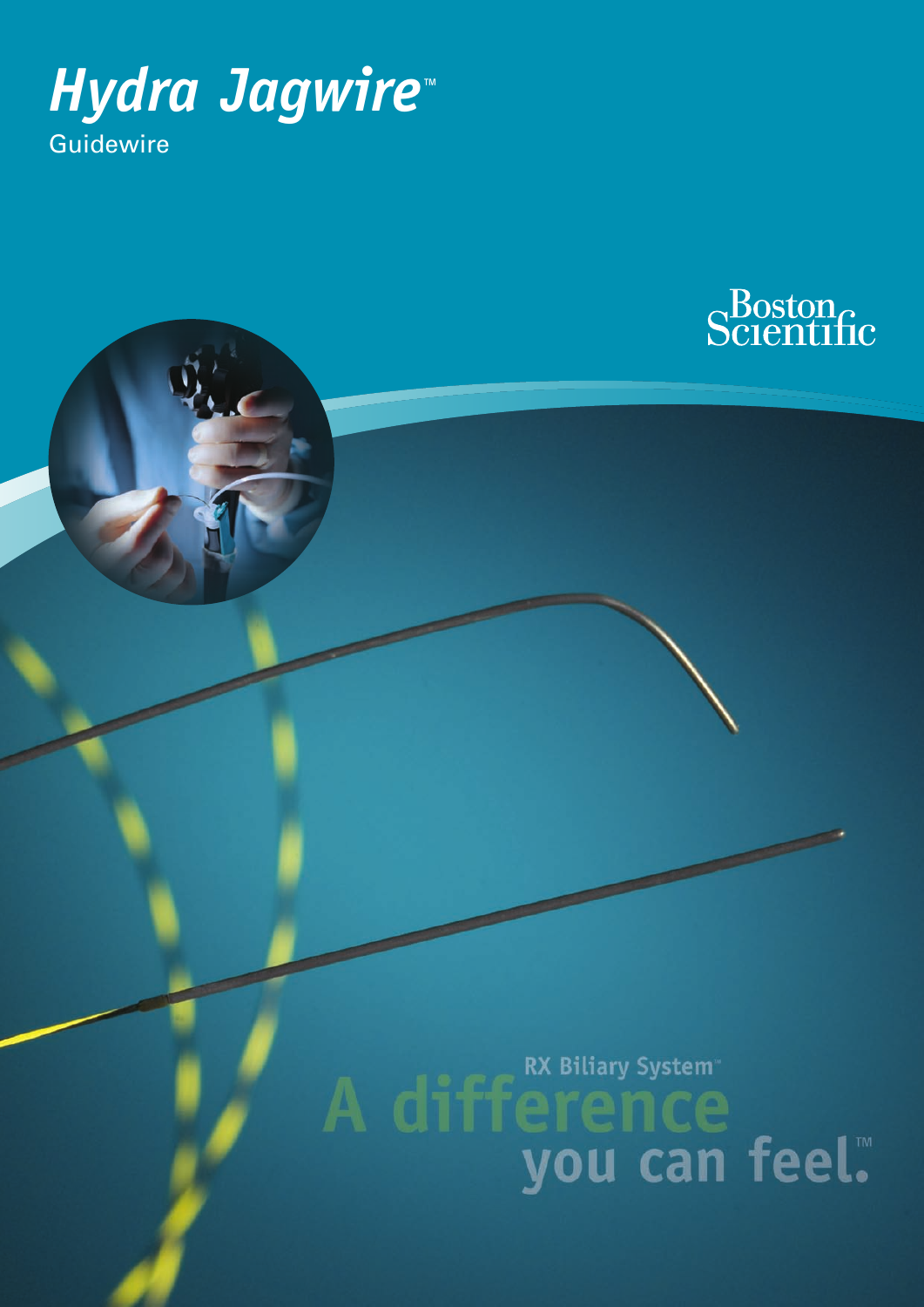



A difference you can feel.™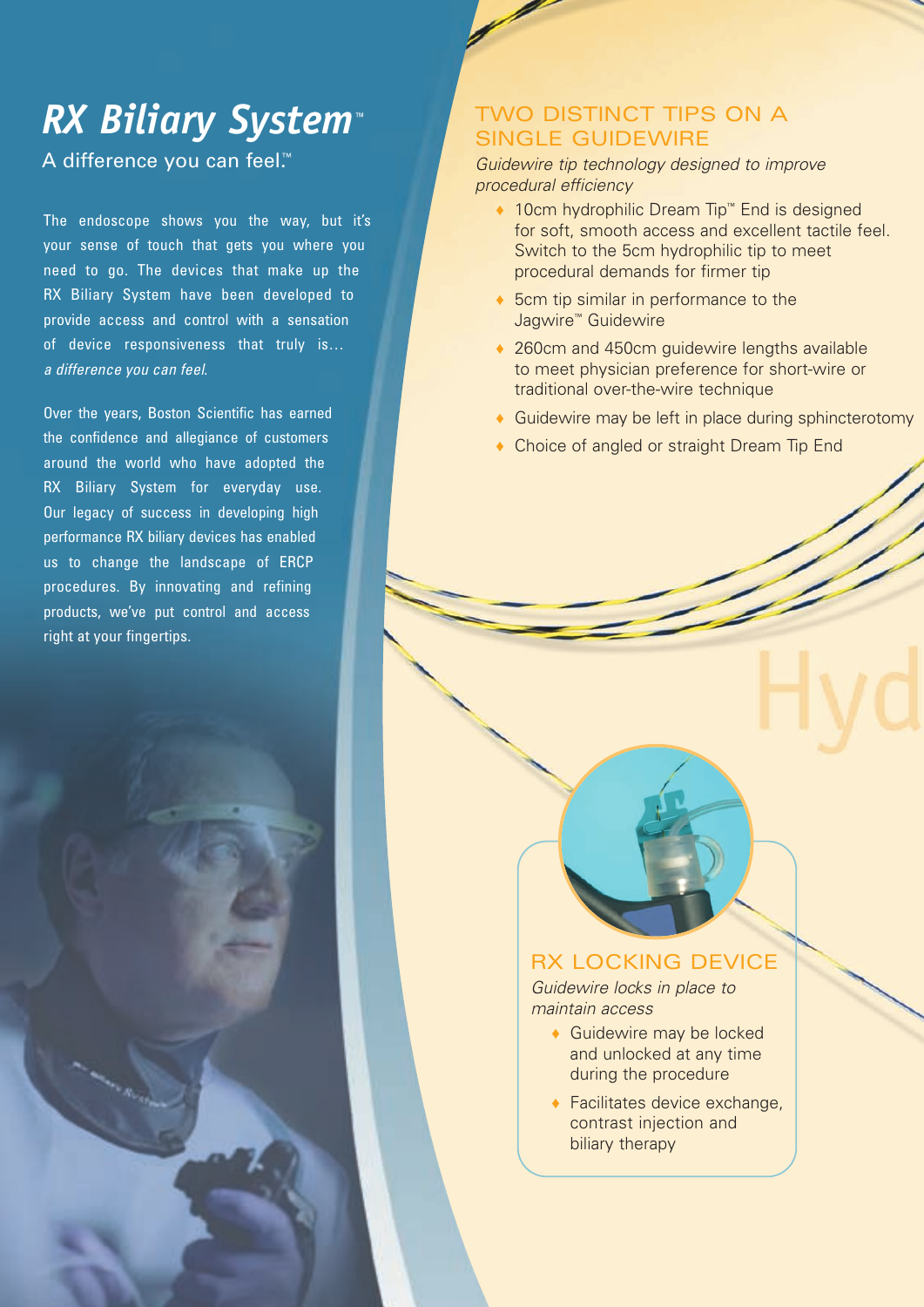### *RX Biliary System™*

A difference you can feel.™

The endoscope shows you the way, but it's your sense of touch that gets you where you need to go. The devices that make up the RX Biliary System have been developed to provide access and control with a sensation of device responsiveness that truly is… *a difference you can feel*.

Over the years, Boston Scientific has earned the confidence and allegiance of customers around the world who have adopted the RX Biliary System for everyday use. Our legacy of success in developing high performance RX biliary devices has enabled us to change the landscape of ERCP procedures. By innovating and refining products, we've put control and access right at your fingertips.

### TWO DISTINCT TIPS ON A SINGLE GUIDEWIRE

*Guidewire tip technology designed to improve procedural efficiency*

- ♦ 10cm hydrophilic Dream Tip™ End is designed for soft, smooth access and excellent tactile feel. Switch to the 5cm hydrophilic tip to meet procedural demands for firmer tip
- ♦ 5cm tip similar in performance to the Jagwire™ Guidewire
- ◆ 260cm and 450cm guidewire lengths available to meet physician preference for short-wire or traditional over-the-wire technique
- ◆ Guidewire may be left in place during sphincterotomy
- ♦ Choice of angled or straight Dream Tip End

### RX LOCKING DEVICE

*Guidewire locks in place to maintain access*

- ◆ Guidewire may be locked and unlocked at any time during the procedure
- $\triangle$  Facilitates device exchange, contrast injection and biliary therapy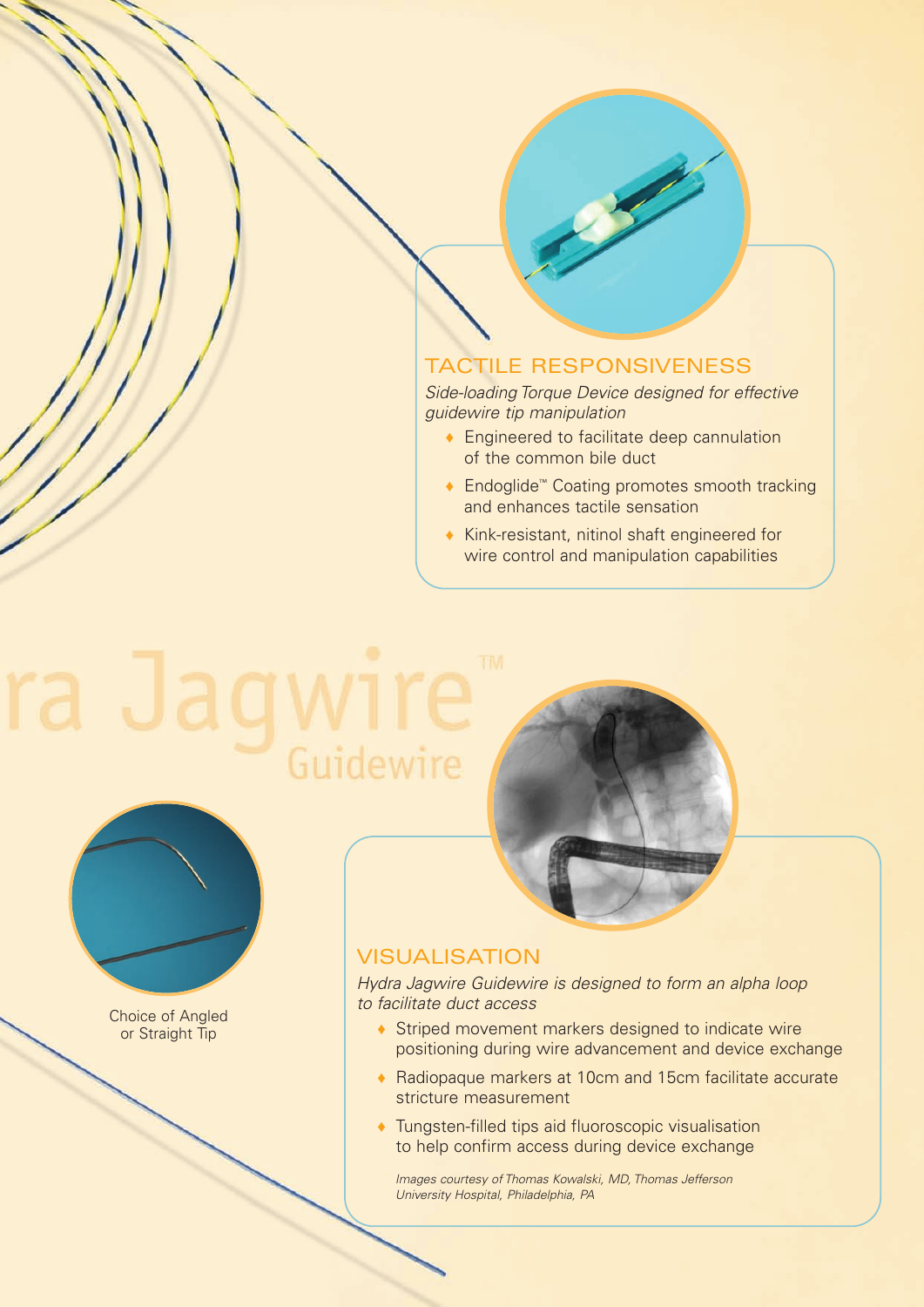### TACTILE RESPONSIVENESS

*Side-loading Torque Device designed for effective guidewire tip manipulation*

- ♦ Engineered to facilitate deep cannulation of the common bile duct
- ◆ Endoglide™ Coating promotes smooth tracking and enhances tactile sensation
- ♦ Kink-resistant, nitinol shaft engineered for wire control and manipulation capabilities

# Guidewire



Choice of Angled or Straight Tip



### VISUALISATION

*Hydra Jagwire Guidewire is designed to form an alpha loop to facilitate duct access*

- ♦ Striped movement markers designed to indicate wire positioning during wire advancement and device exchange
- ♦ Radiopaque markers at 10cm and 15cm facilitate accurate stricture measurement
- ♦ Tungsten-filled tips aid fluoroscopic visualisation to help confirm access during device exchange

*Images courtesy of Thomas Kowalski, MD, Thomas Jefferson University Hospital, Philadelphia, PA*